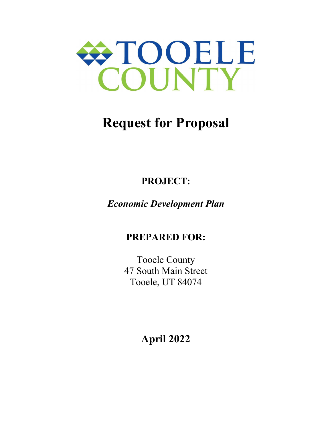

# **Request for Proposal**

## **PROJECT:**

## *Economic Development Plan*

## **PREPARED FOR:**

Tooele County 47 South Main Street Tooele, UT 84074

**April 2022**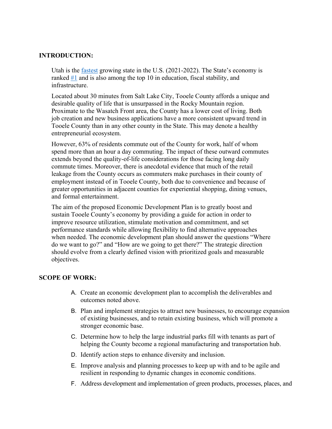#### **INTRODUCTION:**

Utah is the fastest growing state in the U.S. (2021-2022). The State's economy is ranked #1 and is also among the top 10 in education, fiscal stability, and infrastructure.

Located about 30 minutes from Salt Lake City, Tooele County affords a unique and desirable quality of life that is unsurpassed in the Rocky Mountain region. Proximate to the Wasatch Front area, the County has a lower cost of living. Both job creation and new business applications have a more consistent upward trend in Tooele County than in any other county in the State. This may denote a healthy entrepreneurial ecosystem.

However, 63% of residents commute out of the County for work, half of whom spend more than an hour a day commuting. The impact of these outward commutes extends beyond the quality-of-life considerations for those facing long daily commute times. Moreover, there is anecdotal evidence that much of the retail leakage from the County occurs as commuters make purchases in their county of employment instead of in Tooele County, both due to convenience and because of greater opportunities in adjacent counties for experiential shopping, dining venues, and formal entertainment.

The aim of the proposed Economic Development Plan is to greatly boost and sustain Tooele County's economy by providing a guide for action in order to improve resource utilization, stimulate motivation and commitment, and set performance standards while allowing flexibility to find alternative approaches when needed. The economic development plan should answer the questions "Where do we want to go?" and "How are we going to get there?" The strategic direction should evolve from a clearly defined vision with prioritized goals and measurable objectives.

#### **SCOPE OF WORK:**

- A. Create an economic development plan to accomplish the deliverables and outcomes noted above.
- B. Plan and implement strategies to attract new businesses, to encourage expansion of existing businesses, and to retain existing business, which will promote a stronger economic base.
- C. Determine how to help the large industrial parks fill with tenants as part of helping the County become a regional manufacturing and transportation hub.
- D. Identify action steps to enhance diversity and inclusion.
- E. Improve analysis and planning processes to keep up with and to be agile and resilient in responding to dynamic changes in economic conditions.
- F. Address development and implementation of green products, processes, places, and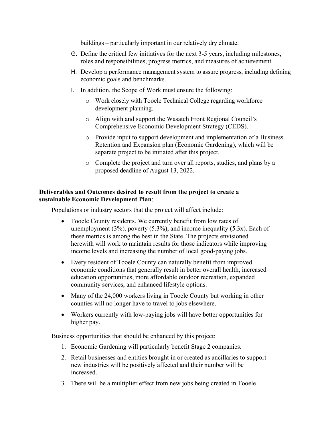buildings – particularly important in our relatively dry climate.

- G. Define the critical few initiatives for the next 3-5 years, including milestones, roles and responsibilities, progress metrics, and measures of achievement.
- H. Develop a performance management system to assure progress, including defining economic goals and benchmarks.
- I. In addition, the Scope of Work must ensure the following:
	- o Work closely with Tooele Technical College regarding workforce development planning.
	- o Align with and support the Wasatch Front Regional Council's Comprehensive Economic Development Strategy (CEDS).
	- o Provide input to support development and implementation of a Business Retention and Expansion plan (Economic Gardening), which will be separate project to be initiated after this project.
	- o Complete the project and turn over all reports, studies, and plans by a proposed deadline of August 13, 2022.

#### **Deliverables and Outcomes desired to result from the project to create a sustainable Economic Development Plan**:

Populations or industry sectors that the project will affect include:

- Tooele County residents. We currently benefit from low rates of unemployment  $(3\%)$ , poverty  $(5.3\%)$ , and income inequality  $(5.3x)$ . Each of these metrics is among the best in the State. The projects envisioned herewith will work to maintain results for those indicators while improving income levels and increasing the number of local good-paying jobs.
- Every resident of Tooele County can naturally benefit from improved economic conditions that generally result in better overall health, increased education opportunities, more affordable outdoor recreation, expanded community services, and enhanced lifestyle options.
- Many of the 24,000 workers living in Tooele County but working in other counties will no longer have to travel to jobs elsewhere.
- Workers currently with low-paying jobs will have better opportunities for higher pay.

Business opportunities that should be enhanced by this project:

- 1. Economic Gardening will particularly benefit Stage 2 companies.
- 2. Retail businesses and entities brought in or created as ancillaries to support new industries will be positively affected and their number will be increased.
- 3. There will be a multiplier effect from new jobs being created in Tooele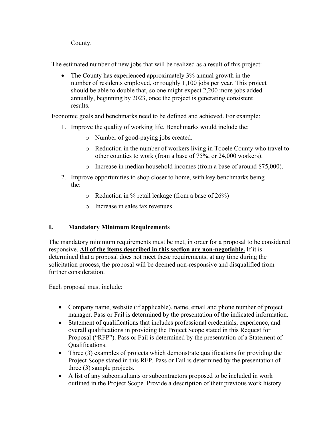County.

The estimated number of new jobs that will be realized as a result of this project:

 The County has experienced approximately 3% annual growth in the number of residents employed, or roughly 1,100 jobs per year. This project should be able to double that, so one might expect 2,200 more jobs added annually, beginning by 2023, once the project is generating consistent results.

Economic goals and benchmarks need to be defined and achieved. For example:

- 1. Improve the quality of working life. Benchmarks would include the:
	- o Number of good-paying jobs created.
	- o Reduction in the number of workers living in Tooele County who travel to other counties to work (from a base of 75%, or 24,000 workers).
	- o Increase in median household incomes (from a base of around \$75,000).
- 2. Improve opportunities to shop closer to home, with key benchmarks being the:
	- o Reduction in % retail leakage (from a base of 26%)
	- o Increase in sales tax revenues

#### **I. Mandatory Minimum Requirements**

The mandatory minimum requirements must be met, in order for a proposal to be considered responsive. **All of the items described in this section are non-negotiable.** If it is determined that a proposal does not meet these requirements, at any time during the solicitation process, the proposal will be deemed non-responsive and disqualified from further consideration.

Each proposal must include:

- Company name, website (if applicable), name, email and phone number of project manager. Pass or Fail is determined by the presentation of the indicated information.
- Statement of qualifications that includes professional credentials, experience, and overall qualifications in providing the Project Scope stated in this Request for Proposal ("RFP"). Pass or Fail is determined by the presentation of a Statement of Qualifications.
- Three (3) examples of projects which demonstrate qualifications for providing the Project Scope stated in this RFP. Pass or Fail is determined by the presentation of three (3) sample projects.
- A list of any subconsultants or subcontractors proposed to be included in work outlined in the Project Scope. Provide a description of their previous work history.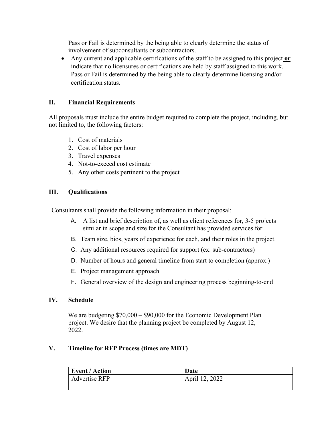Pass or Fail is determined by the being able to clearly determine the status of involvement of subconsultants or subcontractors.

• Any current and applicable certifications of the staff to be assigned to this project or indicate that no licensures or certifications are held by staff assigned to this work. Pass or Fail is determined by the being able to clearly determine licensing and/or certification status.

#### **II. Financial Requirements**

All proposals must include the entire budget required to complete the project, including, but not limited to, the following factors:

- 1. Cost of materials
- 2. Cost of labor per hour
- 3. Travel expenses
- 4. Not-to-exceed cost estimate
- 5. Any other costs pertinent to the project

#### **III. Qualifications**

Consultants shall provide the following information in their proposal:

- A. A list and brief description of, as well as client references for, 3-5 projects similar in scope and size for the Consultant has provided services for.
- B. Team size, bios, years of experience for each, and their roles in the project.
- C. Any additional resources required for support (ex: sub-contractors)
- D. Number of hours and general timeline from start to completion (approx.)
- E. Project management approach
- F. General overview of the design and engineering process beginning-to-end

#### **IV. Schedule**

We are budgeting  $$70,000 - $90,000$  for the Economic Development Plan project. We desire that the planning project be completed by August 12, 2022.

#### **V. Timeline for RFP Process (times are MDT)**

| <b>Event / Action</b> | Date           |
|-----------------------|----------------|
| <b>Advertise RFP</b>  | April 12, 2022 |
|                       |                |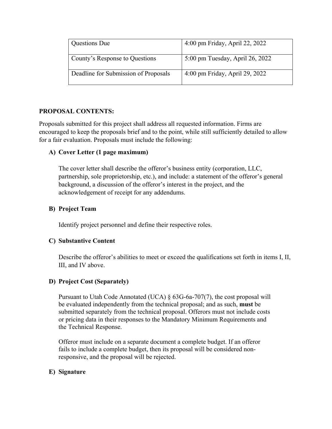| <b>Questions Due</b>                 | 4:00 pm Friday, April 22, 2022  |
|--------------------------------------|---------------------------------|
| County's Response to Questions       | 5:00 pm Tuesday, April 26, 2022 |
| Deadline for Submission of Proposals | 4:00 pm Friday, April 29, 2022  |

#### **PROPOSAL CONTENTS:**

Proposals submitted for this project shall address all requested information. Firms are encouraged to keep the proposals brief and to the point, while still sufficiently detailed to allow for a fair evaluation. Proposals must include the following:

#### **A) Cover Letter (1 page maximum)**

The cover letter shall describe the offeror's business entity (corporation, LLC, partnership, sole proprietorship, etc.), and include: a statement of the offeror's general background, a discussion of the offeror's interest in the project, and the acknowledgement of receipt for any addendums.

#### **B) Project Team**

Identify project personnel and define their respective roles.

#### **C) Substantive Content**

Describe the offeror's abilities to meet or exceed the qualifications set forth in items I, II, III, and IV above.

#### **D) Project Cost (Separately)**

Pursuant to Utah Code Annotated (UCA) § 63G-6a-707(7), the cost proposal will be evaluated independently from the technical proposal; and as such, **must** be submitted separately from the technical proposal. Offerors must not include costs or pricing data in their responses to the Mandatory Minimum Requirements and the Technical Response.

 Offeror must include on a separate document a complete budget. If an offeror fails to include a complete budget, then its proposal will be considered non responsive, and the proposal will be rejected.

#### **E) Signature**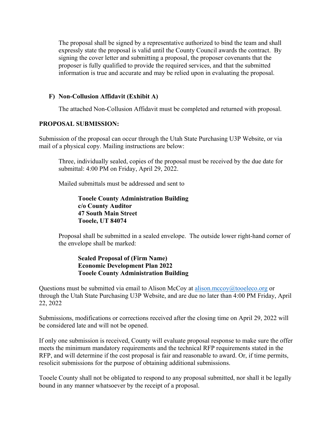The proposal shall be signed by a representative authorized to bind the team and shall expressly state the proposal is valid until the County Council awards the contract. By signing the cover letter and submitting a proposal, the proposer covenants that the proposer is fully qualified to provide the required services, and that the submitted information is true and accurate and may be relied upon in evaluating the proposal.

#### **F) Non-Collusion Affidavit (Exhibit A)**

The attached Non-Collusion Affidavit must be completed and returned with proposal.

#### **PROPOSAL SUBMISSION:**

Submission of the proposal can occur through the Utah State Purchasing U3P Website, or via mail of a physical copy. Mailing instructions are below:

Three, individually sealed, copies of the proposal must be received by the due date for submittal: 4:00 PM on Friday, April 29, 2022.

Mailed submittals must be addressed and sent to

**Tooele County Administration Building c/o County Auditor 47 South Main Street Tooele, UT 84074** 

Proposal shall be submitted in a sealed envelope. The outside lower right-hand corner of the envelope shall be marked:

#### **Sealed Proposal of (Firm Name) Economic Development Plan 2022 Tooele County Administration Building**

Questions must be submitted via email to Alison McCoy at alison.mccoy@tooeleco.org or through the Utah State Purchasing U3P Website, and are due no later than 4:00 PM Friday, April 22, 2022

Submissions, modifications or corrections received after the closing time on April 29, 2022 will be considered late and will not be opened.

If only one submission is received, County will evaluate proposal response to make sure the offer meets the minimum mandatory requirements and the technical RFP requirements stated in the RFP, and will determine if the cost proposal is fair and reasonable to award. Or, if time permits, resolicit submissions for the purpose of obtaining additional submissions.

Tooele County shall not be obligated to respond to any proposal submitted, nor shall it be legally bound in any manner whatsoever by the receipt of a proposal.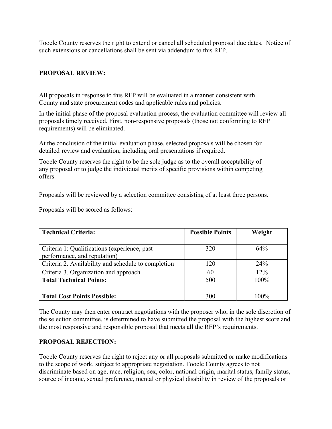Tooele County reserves the right to extend or cancel all scheduled proposal due dates. Notice of such extensions or cancellations shall be sent via addendum to this RFP.

#### **PROPOSAL REVIEW:**

All proposals in response to this RFP will be evaluated in a manner consistent with County and state procurement codes and applicable rules and policies.

In the initial phase of the proposal evaluation process, the evaluation committee will review all proposals timely received. First, non-responsive proposals (those not conforming to RFP requirements) will be eliminated.

At the conclusion of the initial evaluation phase, selected proposals will be chosen for detailed review and evaluation, including oral presentations if required.

Tooele County reserves the right to be the sole judge as to the overall acceptability of any proposal or to judge the individual merits of specific provisions within competing offers.

Proposals will be reviewed by a selection committee consisting of at least three persons.

Proposals will be scored as follows:

| <b>Technical Criteria:</b>                          | <b>Possible Points</b> | Weight |
|-----------------------------------------------------|------------------------|--------|
|                                                     |                        |        |
| Criteria 1: Qualifications (experience, past        | 320                    | $64\%$ |
| performance, and reputation)                        |                        |        |
| Criteria 2. Availability and schedule to completion | 120                    | 24%    |
| Criteria 3. Organization and approach               | 60                     | 12%    |
| <b>Total Technical Points:</b>                      | 500                    | 100%   |
|                                                     |                        |        |
| <b>Total Cost Points Possible:</b>                  | 300                    | 100%   |

The County may then enter contract negotiations with the proposer who, in the sole discretion of the selection committee, is determined to have submitted the proposal with the highest score and the most responsive and responsible proposal that meets all the RFP's requirements.

#### **PROPOSAL REJECTION:**

Tooele County reserves the right to reject any or all proposals submitted or make modifications to the scope of work, subject to appropriate negotiation. Tooele County agrees to not discriminate based on age, race, religion, sex, color, national origin, marital status, family status, source of income, sexual preference, mental or physical disability in review of the proposals or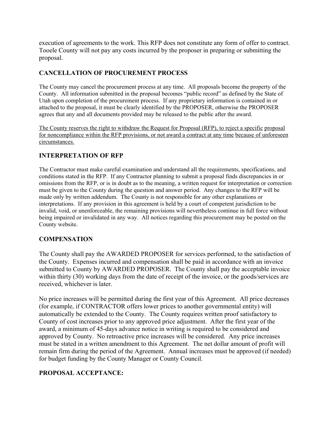execution of agreements to the work. This RFP does not constitute any form of offer to contract. Tooele County will not pay any costs incurred by the proposer in preparing or submitting the proposal.

#### **CANCELLATION OF PROCUREMENT PROCESS**

The County may cancel the procurement process at any time. All proposals become the property of the County. All information submitted in the proposal becomes "public record" as defined by the State of Utah upon completion of the procurement process. If any proprietary information is contained in or attached to the proposal, it must be clearly identified by the PROPOSER, otherwise the PROPOSER agrees that any and all documents provided may be released to the public after the award.

The County reserves the right to withdraw the Request for Proposal (RFP), to reject a specific proposal for noncompliance within the RFP provisions, or not award a contract at any time because of unforeseen circumstances.

#### **INTERPRETATION OF RFP**

The Contractor must make careful examination and understand all the requirements, specifications, and conditions stated in the RFP. If any Contractor planning to submit a proposal finds discrepancies in or omissions from the RFP, or is in doubt as to the meaning, a written request for interpretation or correction must be given to the County during the question and answer period. Any changes to the RFP will be made only by written addendum. The County is not responsible for any other explanations or interpretations. If any provision in this agreement is held by a court of competent jurisdiction to be invalid, void, or unenforceable, the remaining provisions will nevertheless continue in full force without being impaired or invalidated in any way. All notices regarding this procurement may be posted on the County website.

#### **COMPENSATION**

The County shall pay the AWARDED PROPOSER for services performed, to the satisfaction of the County. Expenses incurred and compensation shall be paid in accordance with an invoice submitted to County by AWARDED PROPOSER. The County shall pay the acceptable invoice within thirty (30) working days from the date of receipt of the invoice, or the goods/services are received, whichever is later.

No price increases will be permitted during the first year of this Agreement. All price decreases (for example, if CONTRACTOR offers lower prices to another governmental entity) will automatically be extended to the County. The County requires written proof satisfactory to County of cost increases prior to any approved price adjustment. After the first year of the award, a minimum of 45-days advance notice in writing is required to be considered and approved by County. No retroactive price increases will be considered. Any price increases must be stated in a written amendment to this Agreement. The net dollar amount of profit will remain firm during the period of the Agreement. Annual increases must be approved (if needed) for budget funding by the County Manager or County Council.

#### **PROPOSAL ACCEPTANCE:**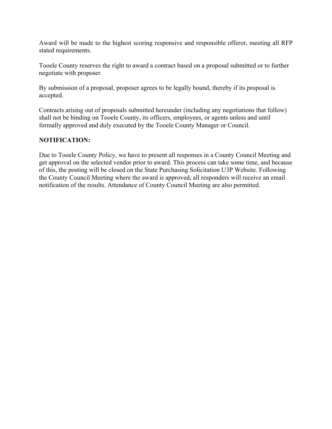Award will be made to the highest scoring responsive and responsible offeror, meeting all RFP stated requirements.

Tooele County reserves the right to award a contract based on a proposal submitted or to further negotiate with proposer.

By submission of a proposal, proposer agrees to be legally bound, thereby if its proposal is accepted.

Contracts arising out of proposals submitted hereunder (including any negotiations that follow) shall not be binding on Tooele County, its officers, employees, or agents unless and until formally approved and duly executed by the Tooele County Manager or Council.

#### **NOTIFICATION:**

Due to Tooele County Policy, we have to present all responses in a County Council Meeting and get approval on the selected vendor prior to award. This process can take some time, and because of this, the posting will be closed on the State Purchasing Solicitation U3P Website. Following the County Council Meeting where the award is approved, all responders will receive an email notification of the results. Attendance of County Council Meeting are also permitted.